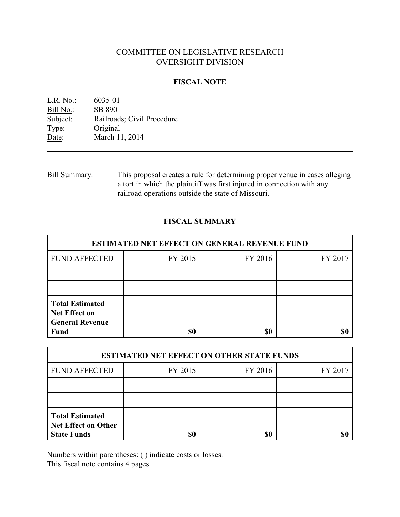# COMMITTEE ON LEGISLATIVE RESEARCH OVERSIGHT DIVISION

### **FISCAL NOTE**

| L.R. No.: | 6035-01                    |
|-----------|----------------------------|
| Bill No.: | SB 890                     |
| Subject:  | Railroads; Civil Procedure |
| Type:     | Original                   |
| Date:     | March 11, 2014             |

Bill Summary: This proposal creates a rule for determining proper venue in cases alleging a tort in which the plaintiff was first injured in connection with any railroad operations outside the state of Missouri.

## **FISCAL SUMMARY**

| <b>ESTIMATED NET EFFECT ON GENERAL REVENUE FUND</b>                                     |         |         |         |  |
|-----------------------------------------------------------------------------------------|---------|---------|---------|--|
| <b>FUND AFFECTED</b>                                                                    | FY 2015 | FY 2016 | FY 2017 |  |
|                                                                                         |         |         |         |  |
|                                                                                         |         |         |         |  |
| <b>Total Estimated</b><br><b>Net Effect on</b><br><b>General Revenue</b><br><b>Fund</b> | \$0     | \$0     |         |  |

| <b>ESTIMATED NET EFFECT ON OTHER STATE FUNDS</b>                           |         |         |         |  |
|----------------------------------------------------------------------------|---------|---------|---------|--|
| <b>FUND AFFECTED</b>                                                       | FY 2015 | FY 2016 | FY 2017 |  |
|                                                                            |         |         |         |  |
|                                                                            |         |         |         |  |
| <b>Total Estimated</b><br><b>Net Effect on Other</b><br><b>State Funds</b> | \$0     | \$0     |         |  |

Numbers within parentheses: ( ) indicate costs or losses.

This fiscal note contains 4 pages.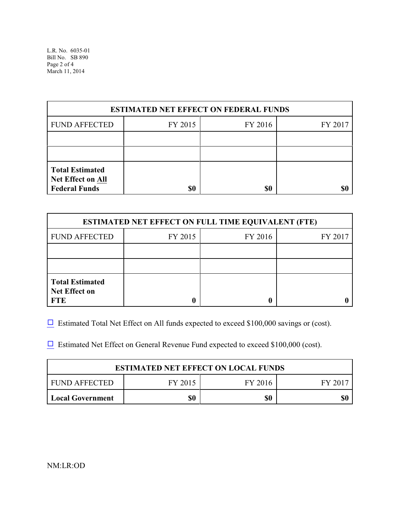L.R. No. 6035-01 Bill No. SB 890 Page 2 of 4 March 11, 2014

| <b>ESTIMATED NET EFFECT ON FEDERAL FUNDS</b>                               |         |         |         |  |
|----------------------------------------------------------------------------|---------|---------|---------|--|
| <b>FUND AFFECTED</b>                                                       | FY 2015 | FY 2016 | FY 2017 |  |
|                                                                            |         |         |         |  |
|                                                                            |         |         |         |  |
| <b>Total Estimated</b><br><b>Net Effect on All</b><br><b>Federal Funds</b> | \$0     | \$0     |         |  |

| <b>ESTIMATED NET EFFECT ON FULL TIME EQUIVALENT (FTE)</b>    |         |         |         |  |
|--------------------------------------------------------------|---------|---------|---------|--|
| <b>FUND AFFECTED</b>                                         | FY 2015 | FY 2016 | FY 2017 |  |
|                                                              |         |         |         |  |
|                                                              |         |         |         |  |
| <b>Total Estimated</b><br><b>Net Effect on</b><br><b>FTE</b> |         |         |         |  |

 $\Box$  Estimated Total Net Effect on All funds expected to exceed \$100,000 savings or (cost).

 $\Box$  Estimated Net Effect on General Revenue Fund expected to exceed \$100,000 (cost).

| <b>ESTIMATED NET EFFECT ON LOCAL FUNDS</b> |         |         |         |
|--------------------------------------------|---------|---------|---------|
| FUND AFFECTED                              | FY 2015 | FY 2016 | FY 2017 |
| <b>Local Government</b>                    | \$0     | \$0     |         |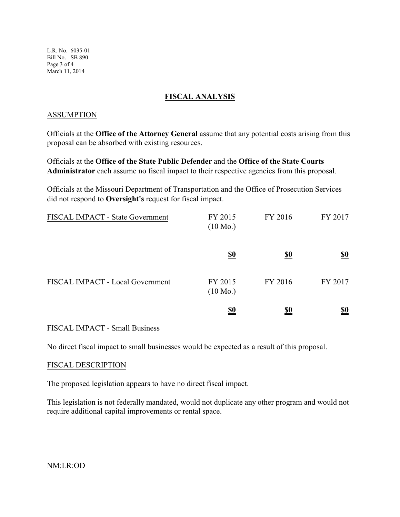L.R. No. 6035-01 Bill No. SB 890 Page 3 of 4 March 11, 2014

### **FISCAL ANALYSIS**

#### ASSUMPTION

Officials at the **Office of the Attorney General** assume that any potential costs arising from this proposal can be absorbed with existing resources.

Officials at the **Office of the State Public Defender** and the **Office of the State Courts Administrator** each assume no fiscal impact to their respective agencies from this proposal.

Officials at the Missouri Department of Transportation and the Office of Prosecution Services did not respond to **Oversight's** request for fiscal impact.

| FISCAL IMPACT - State Government | FY 2015<br>$(10 \text{ Mo.})$ | FY 2016    | FY 2017    |
|----------------------------------|-------------------------------|------------|------------|
|                                  | <u>\$0</u>                    | <u>\$0</u> | <u>\$0</u> |
| FISCAL IMPACT - Local Government | FY 2015<br>$(10 \text{ Mo.})$ | FY 2016    | FY 2017    |
|                                  | <u>\$0</u>                    | <u>\$0</u> | <u>\$0</u> |

#### FISCAL IMPACT - Small Business

No direct fiscal impact to small businesses would be expected as a result of this proposal.

#### FISCAL DESCRIPTION

The proposed legislation appears to have no direct fiscal impact.

This legislation is not federally mandated, would not duplicate any other program and would not require additional capital improvements or rental space.